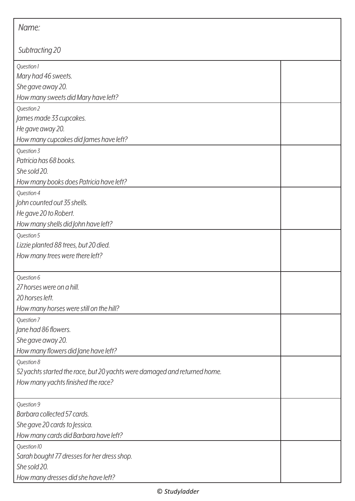| Name:                                                                     |  |  |
|---------------------------------------------------------------------------|--|--|
| Subtracting 20                                                            |  |  |
| Question 1                                                                |  |  |
| Mary had 46 sweets.                                                       |  |  |
| She gave away 20.                                                         |  |  |
| How many sweets did Mary have left?                                       |  |  |
| Question 2                                                                |  |  |
| James made 33 cupcakes.                                                   |  |  |
| He gave away 20.                                                          |  |  |
| How many cupcakes did James have left?                                    |  |  |
| Question 3                                                                |  |  |
| Patricia has 68 books.                                                    |  |  |
| She sold 20.                                                              |  |  |
| How many books does Patricia have left?                                   |  |  |
| Question 4                                                                |  |  |
| John counted out 35 shells.                                               |  |  |
| He gave 20 to Robert.                                                     |  |  |
| How many shells did John have left?                                       |  |  |
| Question 5                                                                |  |  |
| Lizzie planted 88 trees, but 20 died.                                     |  |  |
| How many trees were there left?                                           |  |  |
| Question 6                                                                |  |  |
| 27 horses were on a hill.                                                 |  |  |
| 20 horses left.                                                           |  |  |
| How many horses were still on the hill?                                   |  |  |
| Question 7                                                                |  |  |
| Jane had 86 flowers.                                                      |  |  |
| She gave away 20.                                                         |  |  |
| How many flowers did Jane have left?                                      |  |  |
| Question 8                                                                |  |  |
| 52 yachts started the race, but 20 yachts were damaged and returned home. |  |  |
| How many yachts finished the race?                                        |  |  |
| Question 9                                                                |  |  |
| Barbara collected 57 cards.                                               |  |  |
| She gave 20 cards to Jessica.                                             |  |  |
| How many cards did Barbara have left?                                     |  |  |
| Question 10                                                               |  |  |
| Sarah bought 77 dresses for her dress shop.                               |  |  |
| She sold 20.                                                              |  |  |
| How many dresses did she have left?                                       |  |  |